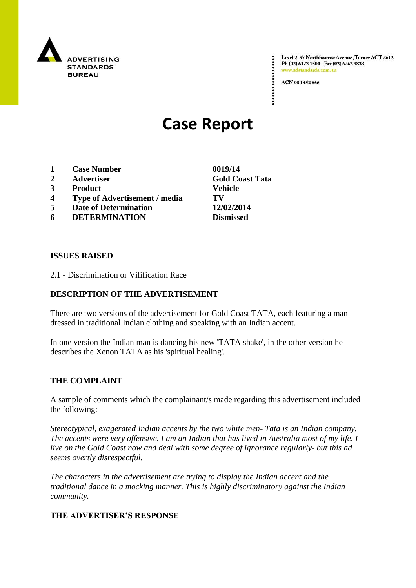

Level 2, 97 Northbourne Avenue, Turner ACT 2612 Ph (02) 6173 1500 | Fax (02) 6262 9833 www.adstandards.com.at

ACN 084 452 666

# **Case Report**

- **1 Case Number 0019/14**
- **2 Advertiser Gold Coast Tata**
- **3 Product Vehicle**
- **4 Type of Advertisement / media TV**
- **5 Date of Determination 12/02/2014**
- **6 DETERMINATION Dismissed**

### **ISSUES RAISED**

2.1 - Discrimination or Vilification Race

## **DESCRIPTION OF THE ADVERTISEMENT**

There are two versions of the advertisement for Gold Coast TATA, each featuring a man dressed in traditional Indian clothing and speaking with an Indian accent.

In one version the Indian man is dancing his new 'TATA shake', in the other version he describes the Xenon TATA as his 'spiritual healing'.

### **THE COMPLAINT**

A sample of comments which the complainant/s made regarding this advertisement included the following:

*Stereotypical, exagerated Indian accents by the two white men- Tata is an Indian company. The accents were very offensive. I am an Indian that has lived in Australia most of my life. I live on the Gold Coast now and deal with some degree of ignorance regularly- but this ad seems overtly disrespectful.*

*The characters in the advertisement are trying to display the Indian accent and the traditional dance in a mocking manner. This is highly discriminatory against the Indian community.*

### **THE ADVERTISER'S RESPONSE**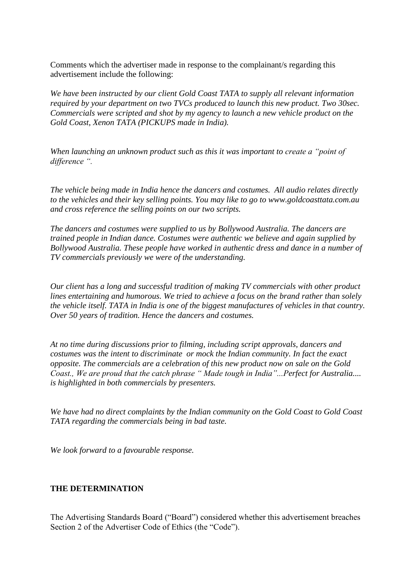Comments which the advertiser made in response to the complainant/s regarding this advertisement include the following:

*We have been instructed by our client Gold Coast TATA to supply all relevant information required by your department on two TVCs produced to launch this new product. Two 30sec. Commercials were scripted and shot by my agency to launch a new vehicle product on the Gold Coast, Xenon TATA (PICKUPS made in India).*

*When launching an unknown product such as this it was important to create a "point of difference ".*

*The vehicle being made in India hence the dancers and costumes. All audio relates directly to the vehicles and their key selling points. You may like to go to www.goldcoasttata.com.au and cross reference the selling points on our two scripts.*

*The dancers and costumes were supplied to us by Bollywood Australia. The dancers are trained people in Indian dance. Costumes were authentic we believe and again supplied by Bollywood Australia. These people have worked in authentic dress and dance in a number of TV commercials previously we were of the understanding.*

*Our client has a long and successful tradition of making TV commercials with other product lines entertaining and humorous. We tried to achieve a focus on the brand rather than solely the vehicle itself. TATA in India is one of the biggest manufactures of vehicles in that country. Over 50 years of tradition. Hence the dancers and costumes.*

*At no time during discussions prior to filming, including script approvals, dancers and costumes was the intent to discriminate or mock the Indian community. In fact the exact opposite. The commercials are a celebration of this new product now on sale on the Gold Coast., We are proud that the catch phrase " Made tough in India"...Perfect for Australia.... is highlighted in both commercials by presenters.*

*We have had no direct complaints by the Indian community on the Gold Coast to Gold Coast TATA regarding the commercials being in bad taste.*

*We look forward to a favourable response.*

### **THE DETERMINATION**

The Advertising Standards Board ("Board") considered whether this advertisement breaches Section 2 of the Advertiser Code of Ethics (the "Code").